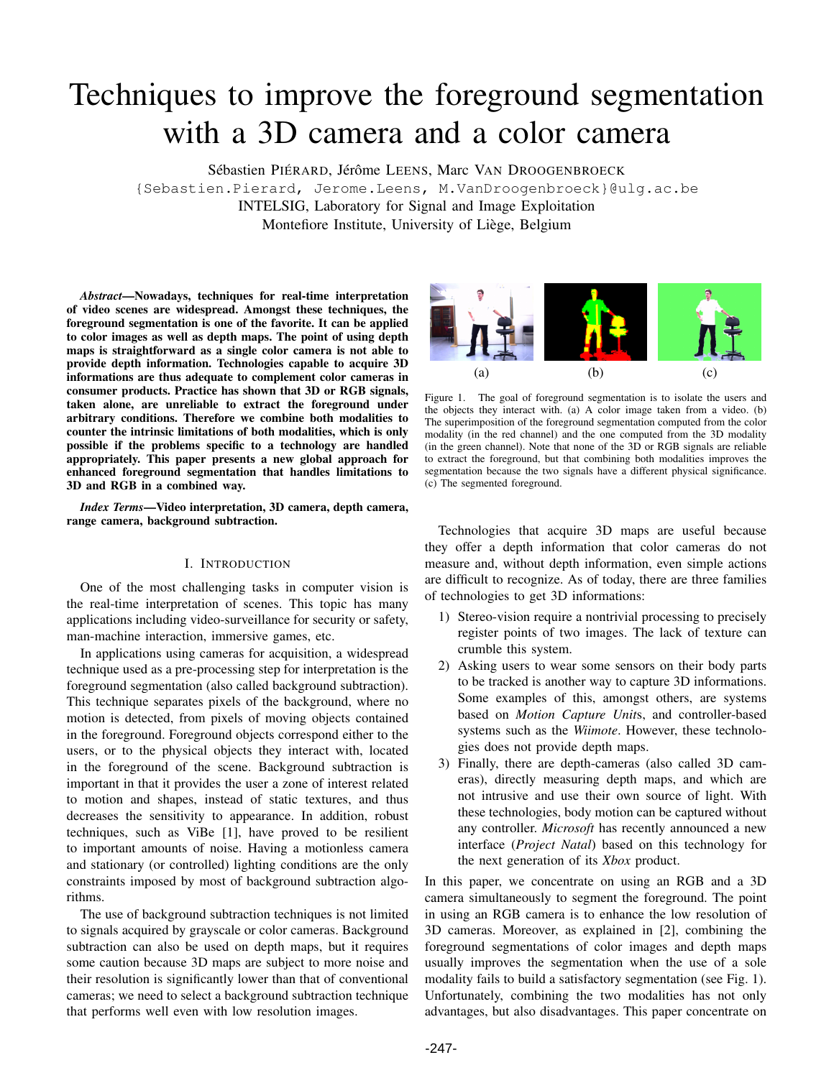# Techniques to improve the foreground segmentation with a 3D camera and a color camera

Sébastien PIÉRARD, Jérôme LEENS, Marc VAN DROOGENBROECK

{Sebastien.Pierard, Jerome.Leens, M.VanDroogenbroeck}@ulg.ac.be INTELSIG, Laboratory for Signal and Image Exploitation Montefiore Institute, University of Liège, Belgium

*Abstract*—Nowadays, techniques for real-time interpretation of video scenes are widespread. Amongst these techniques, the foreground segmentation is one of the favorite. It can be applied to color images as well as depth maps. The point of using depth maps is straightforward as a single color camera is not able to provide depth information. Technologies capable to acquire 3D informations are thus adequate to complement color cameras in consumer products. Practice has shown that 3D or RGB signals, taken alone, are unreliable to extract the foreground under arbitrary conditions. Therefore we combine both modalities to counter the intrinsic limitations of both modalities, which is only possible if the problems specific to a technology are handled appropriately. This paper presents a new global approach for enhanced foreground segmentation that handles limitations to 3D and RGB in a combined way.

*Index Terms*—Video interpretation, 3D camera, depth camera, range camera, background subtraction.

## I. INTRODUCTION

One of the most challenging tasks in computer vision is the real-time interpretation of scenes. This topic has many applications including video-surveillance for security or safety, man-machine interaction, immersive games, etc.

In applications using cameras for acquisition, a widespread technique used as a pre-processing step for interpretation is the foreground segmentation (also called background subtraction). This technique separates pixels of the background, where no motion is detected, from pixels of moving objects contained in the foreground. Foreground objects correspond either to the users, or to the physical objects they interact with, located in the foreground of the scene. Background subtraction is important in that it provides the user a zone of interest related to motion and shapes, instead of static textures, and thus decreases the sensitivity to appearance. In addition, robust techniques, such as ViBe [1], have proved to be resilient to important amounts of noise. Having a motionless camera and stationary (or controlled) lighting conditions are the only constraints imposed by most of background subtraction algorithms.

The use of background subtraction techniques is not limited to signals acquired by grayscale or color cameras. Background subtraction can also be used on depth maps, but it requires some caution because 3D maps are subject to more noise and their resolution is significantly lower than that of conventional cameras; we need to select a background subtraction technique that performs well even with low resolution images.



Figure 1. The goal of foreground segmentation is to isolate the users and the objects they interact with. (a) A color image taken from a video. (b) The superimposition of the foreground segmentation computed from the color modality (in the red channel) and the one computed from the 3D modality (in the green channel). Note that none of the 3D or RGB signals are reliable to extract the foreground, but that combining both modalities improves the segmentation because the two signals have a different physical significance. (c) The segmented foreground.

Technologies that acquire 3D maps are useful because they offer a depth information that color cameras do not measure and, without depth information, even simple actions are difficult to recognize. As of today, there are three families of technologies to get 3D informations:

- 1) Stereo-vision require a nontrivial processing to precisely register points of two images. The lack of texture can crumble this system.
- 2) Asking users to wear some sensors on their body parts to be tracked is another way to capture 3D informations. Some examples of this, amongst others, are systems based on *Motion Capture Unit*s, and controller-based systems such as the *Wiimote*. However, these technologies does not provide depth maps.
- 3) Finally, there are depth-cameras (also called 3D cameras), directly measuring depth maps, and which are not intrusive and use their own source of light. With these technologies, body motion can be captured without any controller. *Microsoft* has recently announced a new interface (*Project Natal*) based on this technology for the next generation of its *Xbox* product.

In this paper, we concentrate on using an RGB and a 3D camera simultaneously to segment the foreground. The point in using an RGB camera is to enhance the low resolution of 3D cameras. Moreover, as explained in [2], combining the foreground segmentations of color images and depth maps usually improves the segmentation when the use of a sole modality fails to build a satisfactory segmentation (see Fig. 1). Unfortunately, combining the two modalities has not only advantages, but also disadvantages. This paper concentrate on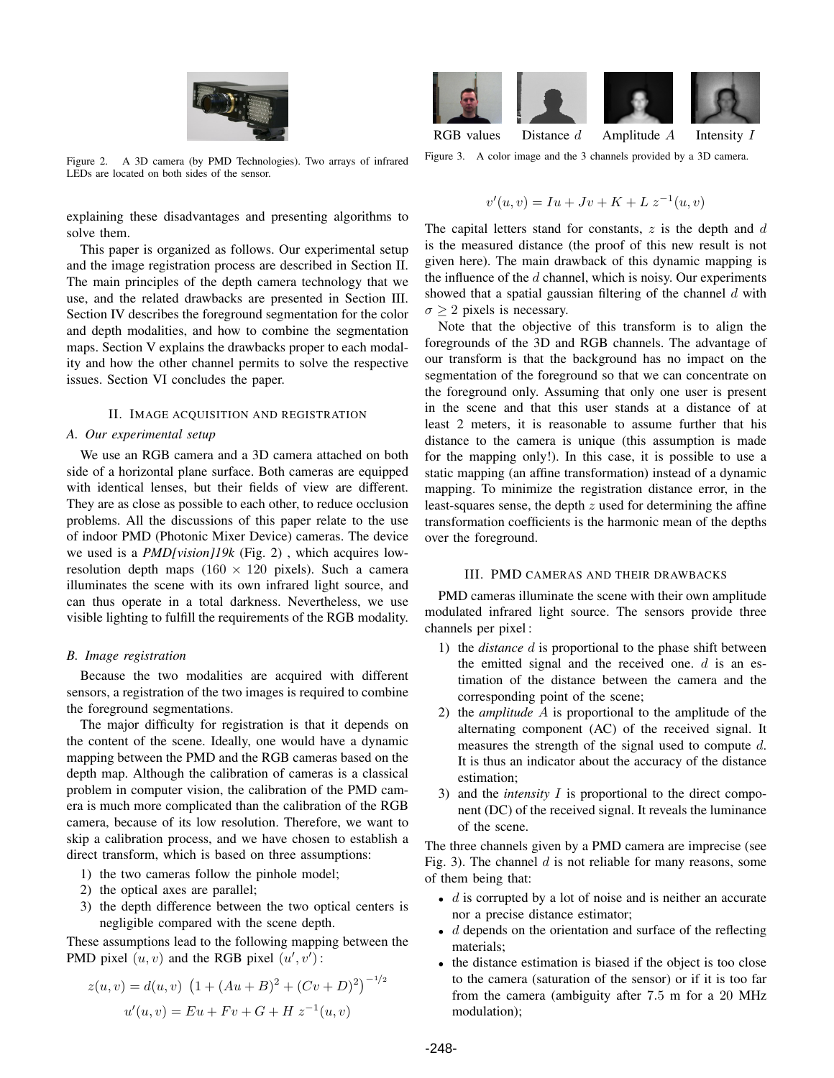

Figure 2. A 3D camera (by PMD Technologies). Two arrays of infrared LEDs are located on both sides of the sensor.

explaining these disadvantages and presenting algorithms to solve them.

This paper is organized as follows. Our experimental setup and the image registration process are described in Section II. The main principles of the depth camera technology that we use, and the related drawbacks are presented in Section III. Section IV describes the foreground segmentation for the color and depth modalities, and how to combine the segmentation maps. Section V explains the drawbacks proper to each modality and how the other channel permits to solve the respective issues. Section VI concludes the paper.

# II. IMAGE ACQUISITION AND REGISTRATION

# *A. Our experimental setup*

We use an RGB camera and a 3D camera attached on both side of a horizontal plane surface. Both cameras are equipped with identical lenses, but their fields of view are different. They are as close as possible to each other, to reduce occlusion problems. All the discussions of this paper relate to the use of indoor PMD (Photonic Mixer Device) cameras. The device we used is a *PMD[vision]19k* (Fig. 2) , which acquires lowresolution depth maps  $(160 \times 120)$  pixels). Such a camera illuminates the scene with its own infrared light source, and can thus operate in a total darkness. Nevertheless, we use visible lighting to fulfill the requirements of the RGB modality.

## *B. Image registration*

Because the two modalities are acquired with different sensors, a registration of the two images is required to combine the foreground segmentations.

The major difficulty for registration is that it depends on the content of the scene. Ideally, one would have a dynamic mapping between the PMD and the RGB cameras based on the depth map. Although the calibration of cameras is a classical problem in computer vision, the calibration of the PMD camera is much more complicated than the calibration of the RGB camera, because of its low resolution. Therefore, we want to skip a calibration process, and we have chosen to establish a direct transform, which is based on three assumptions:

- 1) the two cameras follow the pinhole model;
- 2) the optical axes are parallel;
- 3) the depth difference between the two optical centers is negligible compared with the scene depth.

These assumptions lead to the following mapping between the PMD pixel  $(u, v)$  and the RGB pixel  $(u', v')$ :

$$
z(u, v) = d(u, v) \left(1 + (Au + B)^2 + (Cv + D)^2\right)^{-1/2}
$$

$$
u'(u, v) = Eu + Fv + G + H z^{-1}(u, v)
$$



RGB values Distance  $d$  Amplitude  $A$  Intensity I

Figure 3. A color image and the 3 channels provided by a 3D camera.

$$
v'(u, v) = Iu + Jv + K + L z^{-1}(u, v)
$$

The capital letters stand for constants,  $z$  is the depth and  $d$ is the measured distance (the proof of this new result is not given here). The main drawback of this dynamic mapping is the influence of the  $d$  channel, which is noisy. Our experiments showed that a spatial gaussian filtering of the channel  $d$  with  $\sigma > 2$  pixels is necessary.

Note that the objective of this transform is to align the foregrounds of the 3D and RGB channels. The advantage of our transform is that the background has no impact on the segmentation of the foreground so that we can concentrate on the foreground only. Assuming that only one user is present in the scene and that this user stands at a distance of at least 2 meters, it is reasonable to assume further that his distance to the camera is unique (this assumption is made for the mapping only!). In this case, it is possible to use a static mapping (an affine transformation) instead of a dynamic mapping. To minimize the registration distance error, in the least-squares sense, the depth z used for determining the affine transformation coefficients is the harmonic mean of the depths over the foreground.

## III. PMD CAMERAS AND THEIR DRAWBACKS

PMD cameras illuminate the scene with their own amplitude modulated infrared light source. The sensors provide three channels per pixel :

- 1) the *distance* d is proportional to the phase shift between the emitted signal and the received one.  $d$  is an estimation of the distance between the camera and the corresponding point of the scene;
- 2) the *amplitude* A is proportional to the amplitude of the alternating component (AC) of the received signal. It measures the strength of the signal used to compute d. It is thus an indicator about the accuracy of the distance estimation;
- 3) and the *intensity* I is proportional to the direct component (DC) of the received signal. It reveals the luminance of the scene.

The three channels given by a PMD camera are imprecise (see Fig. 3). The channel  $d$  is not reliable for many reasons, some of them being that:

- $\bullet$  d is corrupted by a lot of noise and is neither an accurate nor a precise distance estimator;
- $\bullet$  d depends on the orientation and surface of the reflecting materials;
- the distance estimation is biased if the object is too close to the camera (saturation of the sensor) or if it is too far from the camera (ambiguity after 7.5 m for a 20 MHz modulation);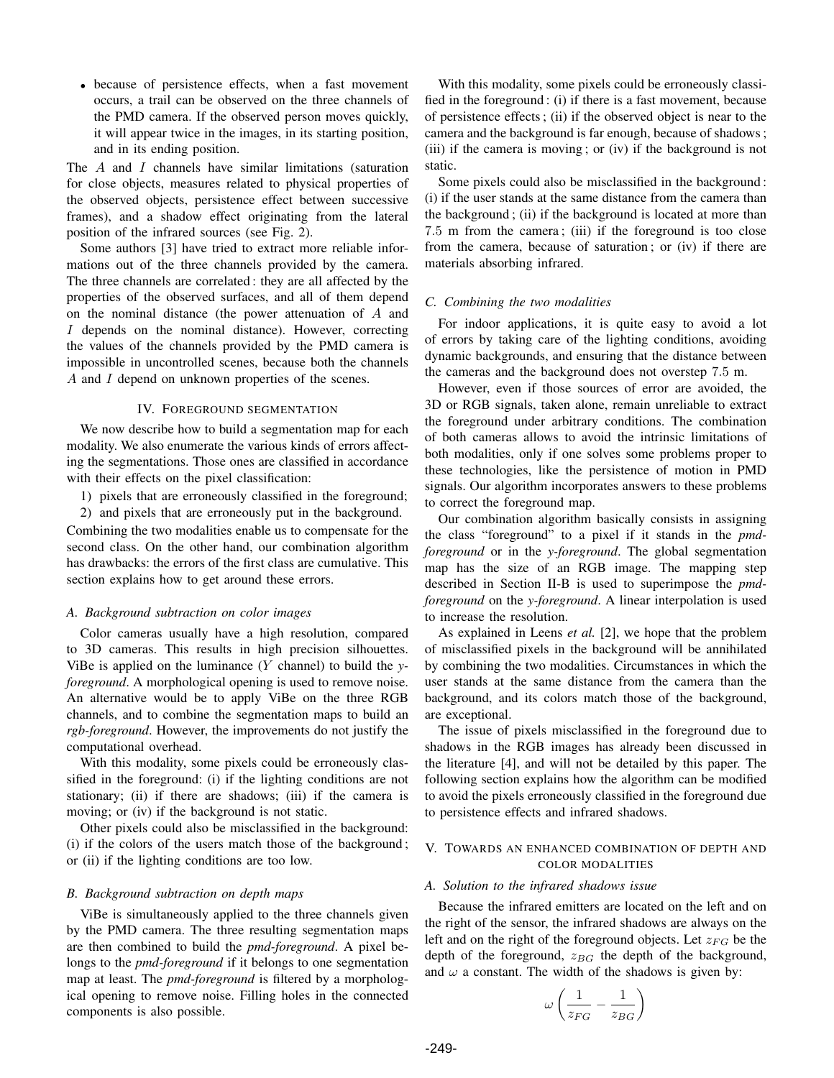• because of persistence effects, when a fast movement occurs, a trail can be observed on the three channels of the PMD camera. If the observed person moves quickly, it will appear twice in the images, in its starting position, and in its ending position.

The A and I channels have similar limitations (saturation for close objects, measures related to physical properties of the observed objects, persistence effect between successive frames), and a shadow effect originating from the lateral position of the infrared sources (see Fig. 2).

Some authors [3] have tried to extract more reliable informations out of the three channels provided by the camera. The three channels are correlated : they are all affected by the properties of the observed surfaces, and all of them depend on the nominal distance (the power attenuation of A and I depends on the nominal distance). However, correcting the values of the channels provided by the PMD camera is impossible in uncontrolled scenes, because both the channels A and I depend on unknown properties of the scenes.

#### IV. FOREGROUND SEGMENTATION

We now describe how to build a segmentation map for each modality. We also enumerate the various kinds of errors affecting the segmentations. Those ones are classified in accordance with their effects on the pixel classification:

1) pixels that are erroneously classified in the foreground;

2) and pixels that are erroneously put in the background.

Combining the two modalities enable us to compensate for the second class. On the other hand, our combination algorithm has drawbacks: the errors of the first class are cumulative. This section explains how to get around these errors.

#### *A. Background subtraction on color images*

Color cameras usually have a high resolution, compared to 3D cameras. This results in high precision silhouettes. ViBe is applied on the luminance (Y channel) to build the *yforeground*. A morphological opening is used to remove noise. An alternative would be to apply ViBe on the three RGB channels, and to combine the segmentation maps to build an *rgb-foreground*. However, the improvements do not justify the computational overhead.

With this modality, some pixels could be erroneously classified in the foreground: (i) if the lighting conditions are not stationary; (ii) if there are shadows; (iii) if the camera is moving; or (iv) if the background is not static.

Other pixels could also be misclassified in the background: (i) if the colors of the users match those of the background ; or (ii) if the lighting conditions are too low.

#### *B. Background subtraction on depth maps*

ViBe is simultaneously applied to the three channels given by the PMD camera. The three resulting segmentation maps are then combined to build the *pmd-foreground*. A pixel belongs to the *pmd-foreground* if it belongs to one segmentation map at least. The *pmd-foreground* is filtered by a morphological opening to remove noise. Filling holes in the connected components is also possible.

With this modality, some pixels could be erroneously classified in the foreground : (i) if there is a fast movement, because of persistence effects ; (ii) if the observed object is near to the camera and the background is far enough, because of shadows ; (iii) if the camera is moving ; or (iv) if the background is not static.

Some pixels could also be misclassified in the background : (i) if the user stands at the same distance from the camera than the background ; (ii) if the background is located at more than 7.5 m from the camera ; (iii) if the foreground is too close from the camera, because of saturation ; or (iv) if there are materials absorbing infrared.

### *C. Combining the two modalities*

For indoor applications, it is quite easy to avoid a lot of errors by taking care of the lighting conditions, avoiding dynamic backgrounds, and ensuring that the distance between the cameras and the background does not overstep 7.5 m.

However, even if those sources of error are avoided, the 3D or RGB signals, taken alone, remain unreliable to extract the foreground under arbitrary conditions. The combination of both cameras allows to avoid the intrinsic limitations of both modalities, only if one solves some problems proper to these technologies, like the persistence of motion in PMD signals. Our algorithm incorporates answers to these problems to correct the foreground map.

Our combination algorithm basically consists in assigning the class "foreground" to a pixel if it stands in the *pmdforeground* or in the *y-foreground*. The global segmentation map has the size of an RGB image. The mapping step described in Section II-B is used to superimpose the *pmdforeground* on the *y-foreground*. A linear interpolation is used to increase the resolution.

As explained in Leens *et al.* [2], we hope that the problem of misclassified pixels in the background will be annihilated by combining the two modalities. Circumstances in which the user stands at the same distance from the camera than the background, and its colors match those of the background, are exceptional.

The issue of pixels misclassified in the foreground due to shadows in the RGB images has already been discussed in the literature [4], and will not be detailed by this paper. The following section explains how the algorithm can be modified to avoid the pixels erroneously classified in the foreground due to persistence effects and infrared shadows.

# V. TOWARDS AN ENHANCED COMBINATION OF DEPTH AND COLOR MODALITIES

## *A. Solution to the infrared shadows issue*

Because the infrared emitters are located on the left and on the right of the sensor, the infrared shadows are always on the left and on the right of the foreground objects. Let  $z_{FG}$  be the depth of the foreground,  $z_{BG}$  the depth of the background, and  $\omega$  a constant. The width of the shadows is given by:

$$
\omega \left( \frac{1}{z_{FG}} - \frac{1}{z_{BG}} \right)
$$